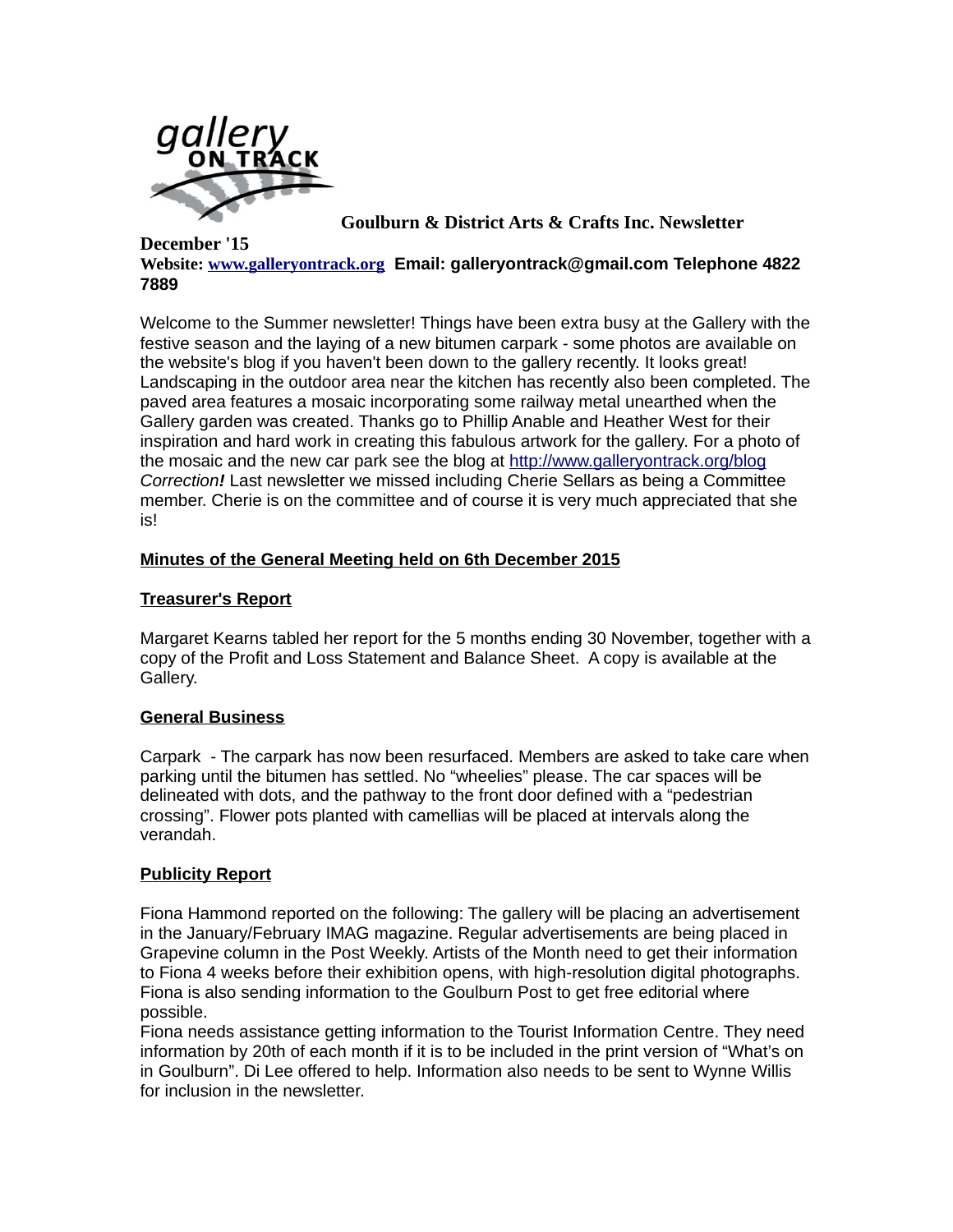

**Goulburn & District Arts & Crafts Inc. Newsletter** 

#### **December '15 Website: [www.galleryontrack.org](file:///home/pdfconvertonline/public_html/convert/p3r68-cdx67/www.galleryontrack.org) Email: galleryontrack@gmail.com Telephone 4822 7889**

Welcome to the Summer newsletter! Things have been extra busy at the Gallery with the festive season and the laying of a new bitumen carpark - some photos are available on the website's blog if you haven't been down to the gallery recently. It looks great! Landscaping in the outdoor area near the kitchen has recently also been completed. The paved area features a mosaic incorporating some railway metal unearthed when the Gallery garden was created. Thanks go to Phillip Anable and Heather West for their inspiration and hard work in creating this fabulous artwork for the gallery. For a photo of the mosaic and the new car park see the blog at<http://www.galleryontrack.org/blog> *Correction!* Last newsletter we missed including Cherie Sellars as being a Committee member. Cherie is on the committee and of course it is very much appreciated that she is!

## **Minutes of the General Meeting held on 6th December 2015**

### **Treasurer's Report**

Margaret Kearns tabled her report for the 5 months ending 30 November, together with a copy of the Profit and Loss Statement and Balance Sheet. A copy is available at the Gallery.

### **General Business**

Carpark - The carpark has now been resurfaced. Members are asked to take care when parking until the bitumen has settled. No "wheelies" please. The car spaces will be delineated with dots, and the pathway to the front door defined with a "pedestrian crossing". Flower pots planted with camellias will be placed at intervals along the verandah.

### **Publicity Report**

Fiona Hammond reported on the following: The gallery will be placing an advertisement in the January/February IMAG magazine. Regular advertisements are being placed in Grapevine column in the Post Weekly. Artists of the Month need to get their information to Fiona 4 weeks before their exhibition opens, with high-resolution digital photographs. Fiona is also sending information to the Goulburn Post to get free editorial where possible.

Fiona needs assistance getting information to the Tourist Information Centre. They need information by 20th of each month if it is to be included in the print version of "What's on in Goulburn". Di Lee offered to help. Information also needs to be sent to Wynne Willis for inclusion in the newsletter.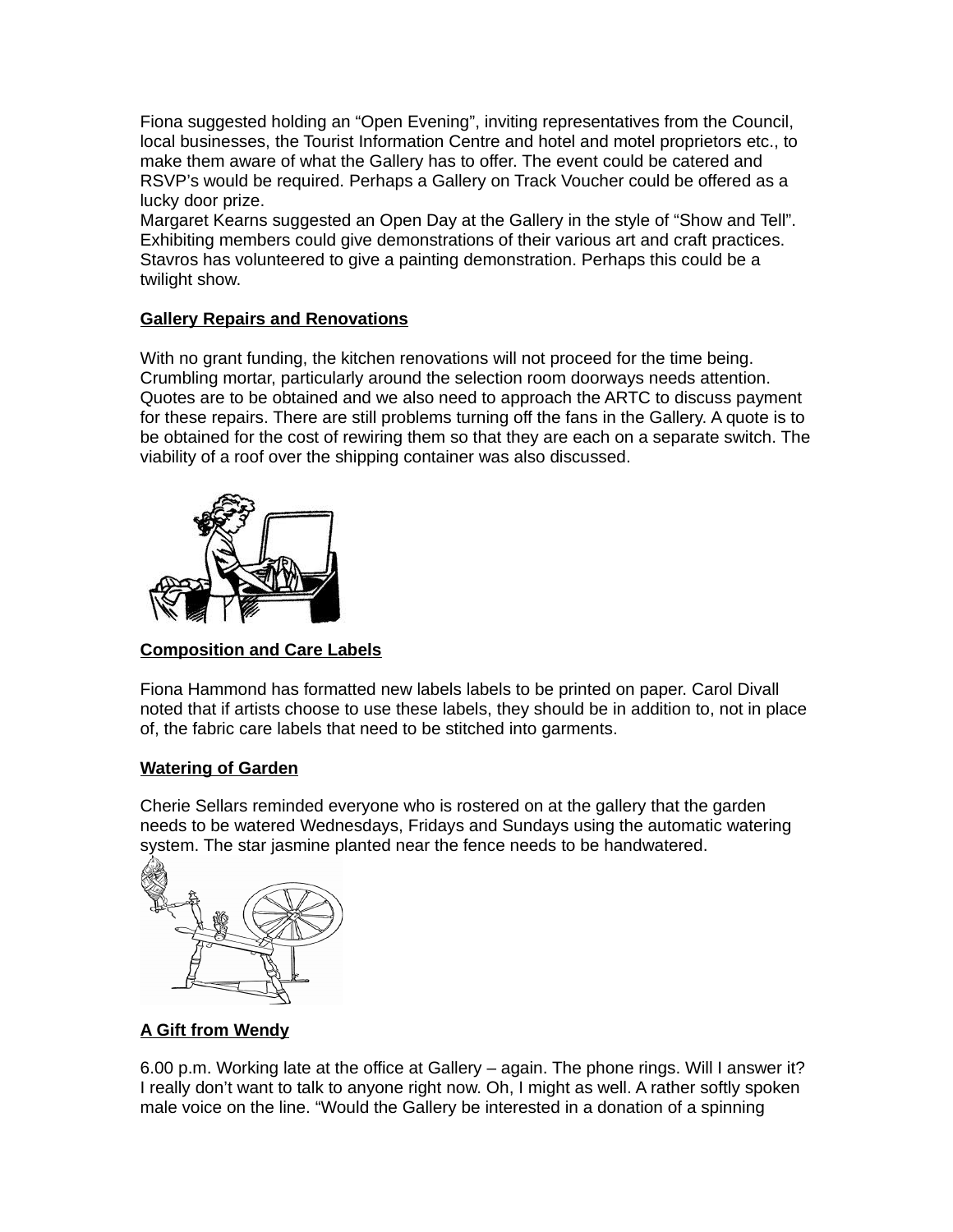Fiona suggested holding an "Open Evening", inviting representatives from the Council, local businesses, the Tourist Information Centre and hotel and motel proprietors etc., to make them aware of what the Gallery has to offer. The event could be catered and RSVP's would be required. Perhaps a Gallery on Track Voucher could be offered as a lucky door prize.

Margaret Kearns suggested an Open Day at the Gallery in the style of "Show and Tell". Exhibiting members could give demonstrations of their various art and craft practices. Stavros has volunteered to give a painting demonstration. Perhaps this could be a twilight show.

## **Gallery Repairs and Renovations**

With no grant funding, the kitchen renovations will not proceed for the time being. Crumbling mortar, particularly around the selection room doorways needs attention. Quotes are to be obtained and we also need to approach the ARTC to discuss payment for these repairs. There are still problems turning off the fans in the Gallery. A quote is to be obtained for the cost of rewiring them so that they are each on a separate switch. The viability of a roof over the shipping container was also discussed.



# **Composition and Care Labels**

Fiona Hammond has formatted new labels labels to be printed on paper. Carol Divall noted that if artists choose to use these labels, they should be in addition to, not in place of, the fabric care labels that need to be stitched into garments.

# **Watering of Garden**

Cherie Sellars reminded everyone who is rostered on at the gallery that the garden needs to be watered Wednesdays, Fridays and Sundays using the automatic watering system. The star jasmine planted near the fence needs to be handwatered.



# **A Gift from Wendy**

6.00 p.m. Working late at the office at Gallery – again. The phone rings. Will I answer it? I really don't want to talk to anyone right now. Oh, I might as well. A rather softly spoken male voice on the line. "Would the Gallery be interested in a donation of a spinning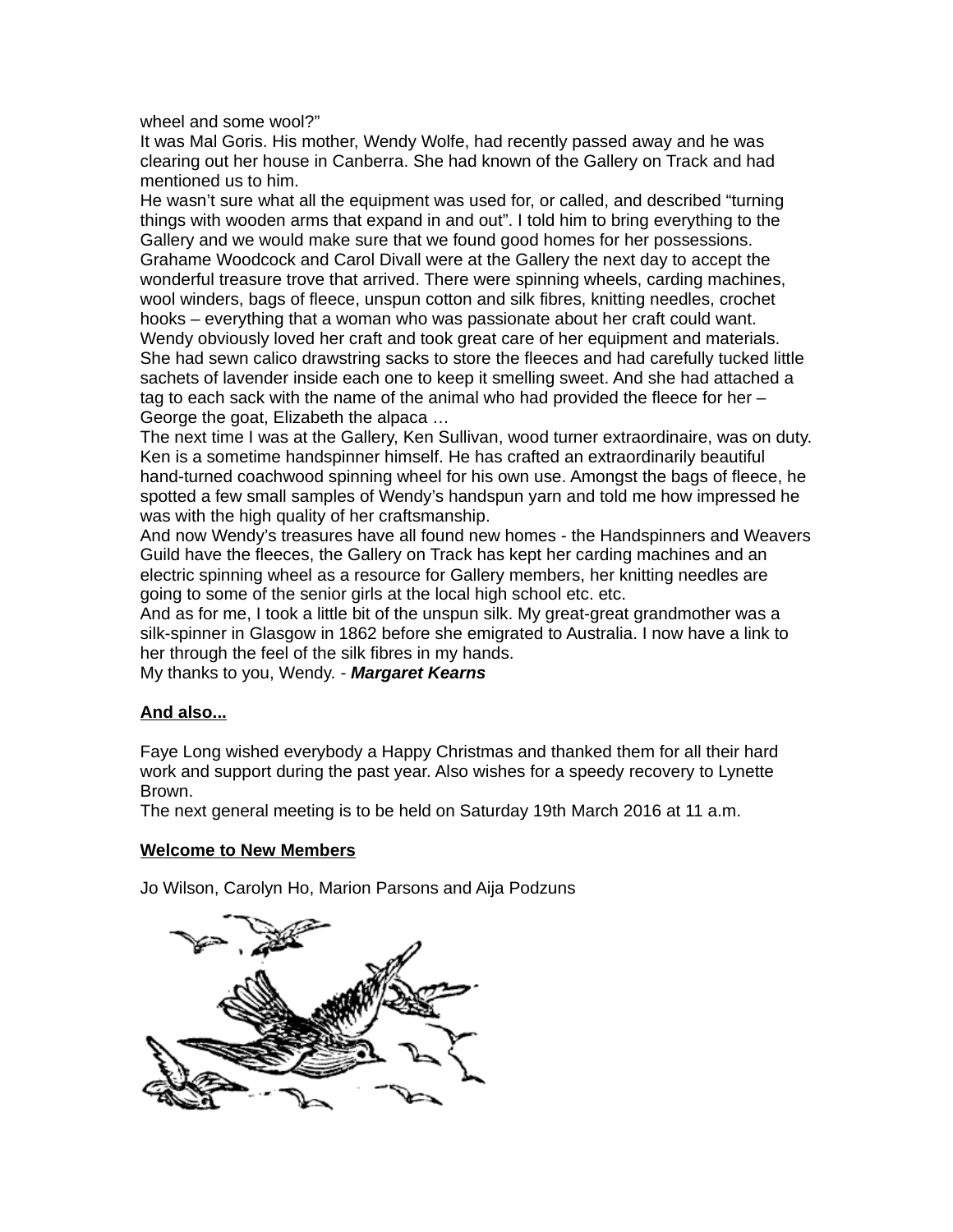wheel and some wool?"

It was Mal Goris. His mother, Wendy Wolfe, had recently passed away and he was clearing out her house in Canberra. She had known of the Gallery on Track and had mentioned us to him.

He wasn't sure what all the equipment was used for, or called, and described "turning things with wooden arms that expand in and out". I told him to bring everything to the Gallery and we would make sure that we found good homes for her possessions. Grahame Woodcock and Carol Divall were at the Gallery the next day to accept the wonderful treasure trove that arrived. There were spinning wheels, carding machines, wool winders, bags of fleece, unspun cotton and silk fibres, knitting needles, crochet hooks – everything that a woman who was passionate about her craft could want. Wendy obviously loved her craft and took great care of her equipment and materials. She had sewn calico drawstring sacks to store the fleeces and had carefully tucked little sachets of lavender inside each one to keep it smelling sweet. And she had attached a tag to each sack with the name of the animal who had provided the fleece for her – George the goat, Elizabeth the alpaca …

The next time I was at the Gallery, Ken Sullivan, wood turner extraordinaire, was on duty. Ken is a sometime handspinner himself. He has crafted an extraordinarily beautiful hand-turned coachwood spinning wheel for his own use. Amongst the bags of fleece, he spotted a few small samples of Wendy's handspun yarn and told me how impressed he was with the high quality of her craftsmanship.

And now Wendy's treasures have all found new homes - the Handspinners and Weavers Guild have the fleeces, the Gallery on Track has kept her carding machines and an electric spinning wheel as a resource for Gallery members, her knitting needles are going to some of the senior girls at the local high school etc. etc.

And as for me, I took a little bit of the unspun silk. My great-great grandmother was a silk-spinner in Glasgow in 1862 before she emigrated to Australia. I now have a link to her through the feel of the silk fibres in my hands.

My thanks to you, Wendy. *- Margaret Kearns*

### **And also...**

Faye Long wished everybody a Happy Christmas and thanked them for all their hard work and support during the past year. Also wishes for a speedy recovery to Lynette Brown.

The next general meeting is to be held on Saturday 19th March 2016 at 11 a.m.

#### **Welcome to New Members**

Jo Wilson, Carolyn Ho, Marion Parsons and Aija Podzuns

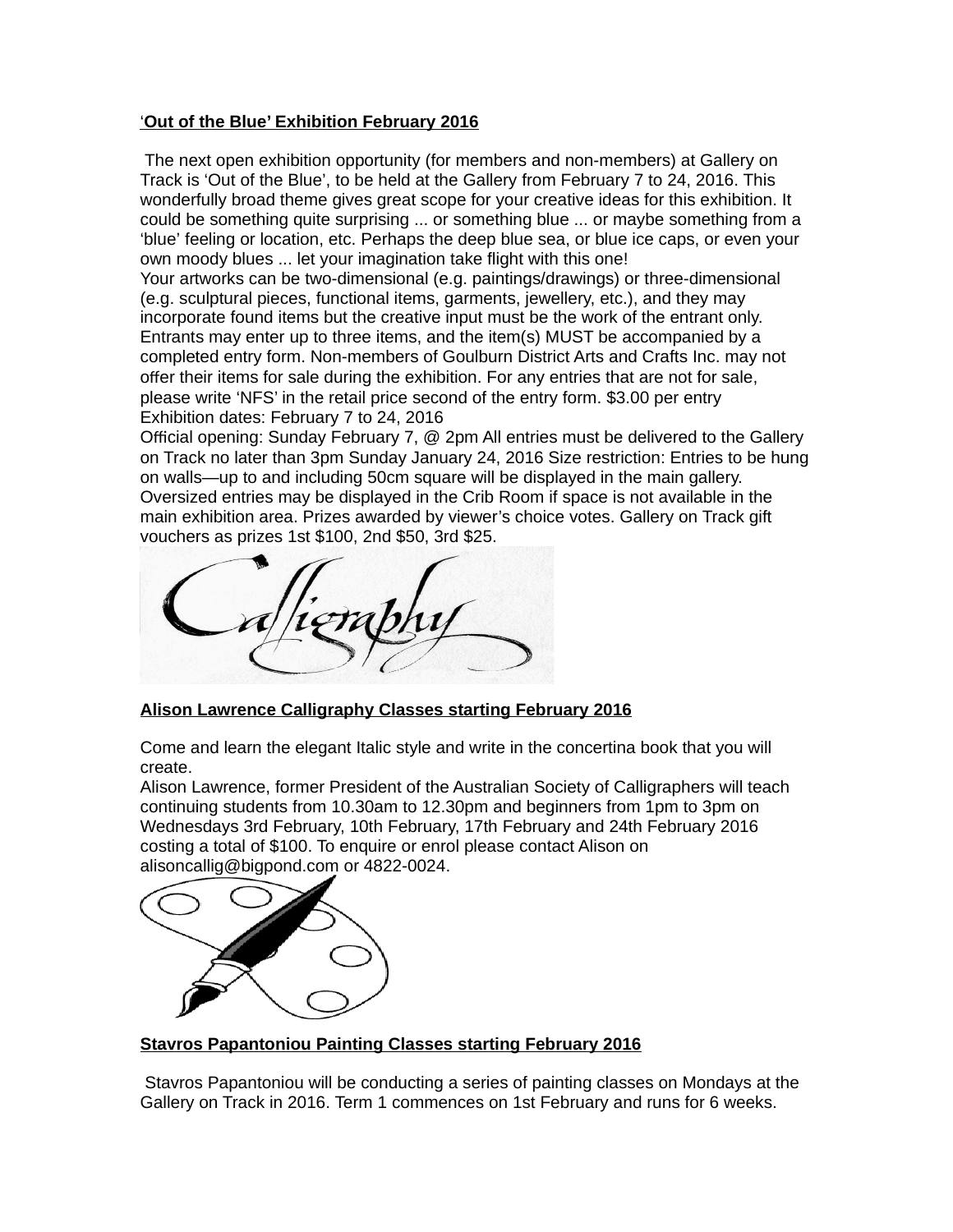### '**Out of the Blue' Exhibition February 2016**

 The next open exhibition opportunity (for members and non-members) at Gallery on Track is 'Out of the Blue', to be held at the Gallery from February 7 to 24, 2016. This wonderfully broad theme gives great scope for your creative ideas for this exhibition. It could be something quite surprising ... or something blue ... or maybe something from a 'blue' feeling or location, etc. Perhaps the deep blue sea, or blue ice caps, or even your own moody blues ... let your imagination take flight with this one! Your artworks can be two-dimensional (e.g. paintings/drawings) or three-dimensional (e.g. sculptural pieces, functional items, garments, jewellery, etc.), and they may incorporate found items but the creative input must be the work of the entrant only. Entrants may enter up to three items, and the item(s) MUST be accompanied by a completed entry form. Non-members of Goulburn District Arts and Crafts Inc. may not offer their items for sale during the exhibition. For any entries that are not for sale, please write 'NFS' in the retail price second of the entry form. \$3.00 per entry Exhibition dates: February 7 to 24, 2016

Official opening: Sunday February 7, @ 2pm All entries must be delivered to the Gallery on Track no later than 3pm Sunday January 24, 2016 Size restriction: Entries to be hung on walls—up to and including 50cm square will be displayed in the main gallery. Oversized entries may be displayed in the Crib Room if space is not available in the main exhibition area. Prizes awarded by viewer's choice votes. Gallery on Track gift vouchers as prizes 1st \$100, 2nd \$50, 3rd \$25.



### **Alison Lawrence Calligraphy Classes starting February 2016**

Come and learn the elegant Italic style and write in the concertina book that you will create.

Alison Lawrence, former President of the Australian Society of Calligraphers will teach continuing students from 10.30am to 12.30pm and beginners from 1pm to 3pm on Wednesdays 3rd February, 10th February, 17th February and 24th February 2016 costing a total of \$100. To enquire or enrol please contact Alison on alisoncallig@bigpond.com or 4822-0024.



### **Stavros Papantoniou Painting Classes starting February 2016**

 Stavros Papantoniou will be conducting a series of painting classes on Mondays at the Gallery on Track in 2016. Term 1 commences on 1st February and runs for 6 weeks.